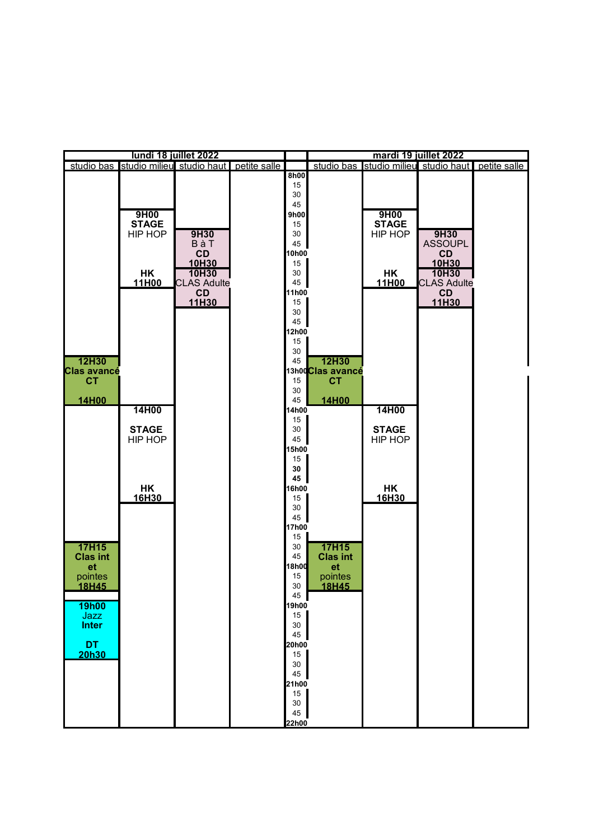| lundi 18 juillet 2022                                     |                                 |                                                           |              |                                                             | mardi 19 juillet 2022                                  |                                 |                                                           |  |
|-----------------------------------------------------------|---------------------------------|-----------------------------------------------------------|--------------|-------------------------------------------------------------|--------------------------------------------------------|---------------------------------|-----------------------------------------------------------|--|
|                                                           |                                 | studio bas studio milieu studio haut                      | petite salle |                                                             |                                                        |                                 | studio bas studio milieu studio haut petite salle         |  |
|                                                           | 9H00<br><b>STAGE</b><br>HIP HOP | 9H30<br>BàT                                               |              | 8h00<br>15<br>30<br>45<br>9h00<br>15<br>30<br>45            |                                                        | 9H00<br><b>STAGE</b><br>HIP HOP | 9H30<br><b>ASSOUPL</b>                                    |  |
|                                                           | HK<br>11H00                     | CD<br>10H30<br>10H30<br><b>CLAS Adulte</b><br>CD<br>11H30 |              | 10h00<br>15<br>30<br>45<br>11h00<br>15<br>30<br>45<br>12h00 |                                                        | HK<br>11H00                     | CD<br>10H30<br>10H30<br><b>CLAS Adulte</b><br>CD<br>11H30 |  |
| <b>12H30</b><br><b>Clas avancé</b><br><b>CT</b><br>14H00  | 14H00                           |                                                           |              | 15<br>30<br>45<br>15<br>30<br>45<br>4h00                    | 12H30<br>13h00Clas avancé<br><b>CT</b><br><b>14H00</b> | 14H00                           |                                                           |  |
|                                                           | <b>STAGE</b><br>HIP HOP         |                                                           |              | 15<br>30<br>45<br>5h00<br>15<br>30<br>45                    |                                                        | <b>STAGE</b><br>HIP HOP         |                                                           |  |
| <b>17H15</b>                                              | <b>HK</b><br>16H30              |                                                           |              | 16h00<br>15<br>30<br>45<br>17h00<br>15                      | <b>17H15</b>                                           | <b>HK</b><br>16H30              |                                                           |  |
| <b>Clas int</b><br>et<br>pointes<br>18H45<br><b>19h00</b> |                                 |                                                           |              | 30<br>45<br><b>18h00</b><br>15<br>30<br>45<br>19h00         | <b>Clas int</b><br>et<br>pointes<br>18H45              |                                 |                                                           |  |
| Jazz<br><b>Inter</b><br><b>DT</b><br><b>20h30</b>         |                                 |                                                           |              | 15<br>30<br>45<br>20h00<br>15<br>30<br>45                   |                                                        |                                 |                                                           |  |
|                                                           |                                 |                                                           |              | 21h00<br>15<br>$30\,$<br>45<br>22h00                        |                                                        |                                 |                                                           |  |